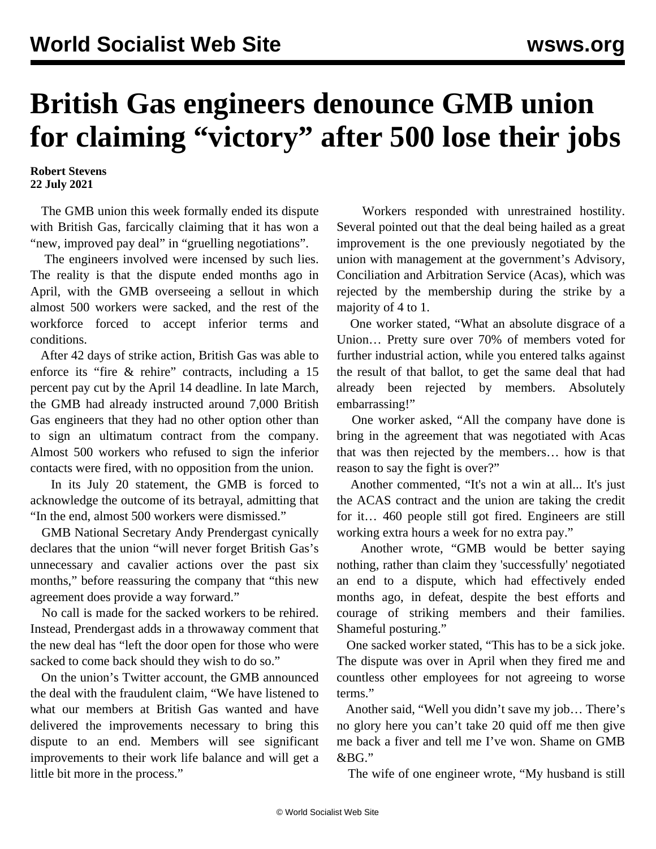## **British Gas engineers denounce GMB union for claiming "victory" after 500 lose their jobs**

## **Robert Stevens 22 July 2021**

 The GMB union this week formally ended its dispute with British Gas, farcically claiming that it has won a "new, improved pay deal" in "gruelling negotiations".

 The engineers involved were incensed by such lies. The reality is that the dispute ended months ago in April, with the GMB overseeing a sellout in which almost 500 workers were sacked, and the rest of the workforce forced to accept inferior terms and conditions.

 After 42 days of strike action, British Gas was able to enforce its "fire & rehire" contracts, including a 15 percent pay cut by the April 14 deadline. In late March, the GMB had already instructed around 7,000 British Gas engineers that they had no other option other than to sign an ultimatum contract from the company. Almost 500 workers who refused to sign the inferior contacts were fired, with no opposition from the union.

 In its July 20 statement, the GMB is forced to acknowledge the outcome of its betrayal, admitting that "In the end, almost 500 workers were dismissed."

 GMB National Secretary Andy Prendergast cynically declares that the union "will never forget British Gas's unnecessary and cavalier actions over the past six months," before reassuring the company that "this new agreement does provide a way forward."

 No call is made for the sacked workers to be rehired. Instead, Prendergast adds in a throwaway comment that the new deal has "left the door open for those who were sacked to come back should they wish to do so."

 On the union's Twitter account, the GMB announced the deal with the fraudulent claim, "We have listened to what our members at British Gas wanted and have delivered the improvements necessary to bring this dispute to an end. Members will see significant improvements to their work life balance and will get a little bit more in the process."

 Workers responded with unrestrained hostility. Several pointed out that the deal being hailed as a great improvement is the one previously negotiated by the union with management at the government's Advisory, Conciliation and Arbitration Service (Acas), which was rejected by the membership during the strike by a majority of 4 to 1.

 One worker stated, "What an absolute disgrace of a Union… Pretty sure over 70% of members voted for further industrial action, while you entered talks against the result of that ballot, to get the same deal that had already been rejected by members. Absolutely embarrassing!"

 One worker asked, "All the company have done is bring in the agreement that was negotiated with Acas that was then rejected by the members… how is that reason to say the fight is over?"

 Another commented, "It's not a win at all... It's just the ACAS contract and the union are taking the credit for it… 460 people still got fired. Engineers are still working extra hours a week for no extra pay."

 Another wrote, "GMB would be better saying nothing, rather than claim they 'successfully' negotiated an end to a dispute, which had effectively ended months ago, in defeat, despite the best efforts and courage of striking members and their families. Shameful posturing."

 One sacked worker stated, "This has to be a sick joke. The dispute was over in April when they fired me and countless other employees for not agreeing to worse terms."

 Another said, "Well you didn't save my job… There's no glory here you can't take 20 quid off me then give me back a fiver and tell me I've won. Shame on GMB &BG."

The wife of one engineer wrote, "My husband is still